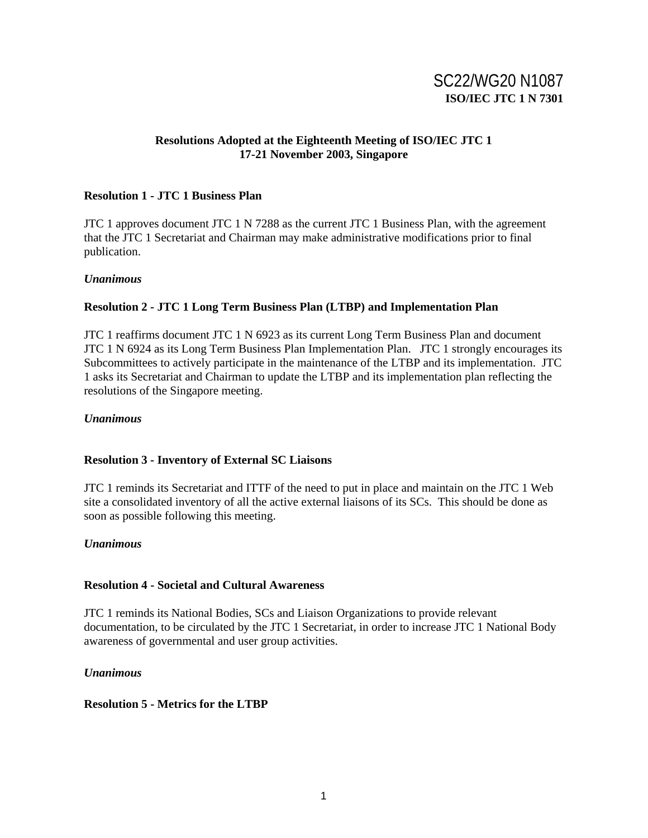# SC22/WG20 N1087 **ISO/IEC JTC 1 N 7301**

# **Resolutions Adopted at the Eighteenth Meeting of ISO/IEC JTC 1 17-21 November 2003, Singapore**

# **Resolution 1 - JTC 1 Business Plan**

JTC 1 approves document JTC 1 N 7288 as the current JTC 1 Business Plan, with the agreement that the JTC 1 Secretariat and Chairman may make administrative modifications prior to final publication.

### *Unanimous*

# **Resolution 2 - JTC 1 Long Term Business Plan (LTBP) and Implementation Plan**

JTC 1 reaffirms document JTC 1 N 6923 as its current Long Term Business Plan and document JTC 1 N 6924 as its Long Term Business Plan Implementation Plan. JTC 1 strongly encourages its Subcommittees to actively participate in the maintenance of the LTBP and its implementation. JTC 1 asks its Secretariat and Chairman to update the LTBP and its implementation plan reflecting the resolutions of the Singapore meeting.

### *Unanimous*

# **Resolution 3 - Inventory of External SC Liaisons**

JTC 1 reminds its Secretariat and ITTF of the need to put in place and maintain on the JTC 1 Web site a consolidated inventory of all the active external liaisons of its SCs. This should be done as soon as possible following this meeting.

# *Unanimous*

### **Resolution 4 - Societal and Cultural Awareness**

JTC 1 reminds its National Bodies, SCs and Liaison Organizations to provide relevant documentation, to be circulated by the JTC 1 Secretariat, in order to increase JTC 1 National Body awareness of governmental and user group activities.

# *Unanimous*

# **Resolution 5 - Metrics for the LTBP**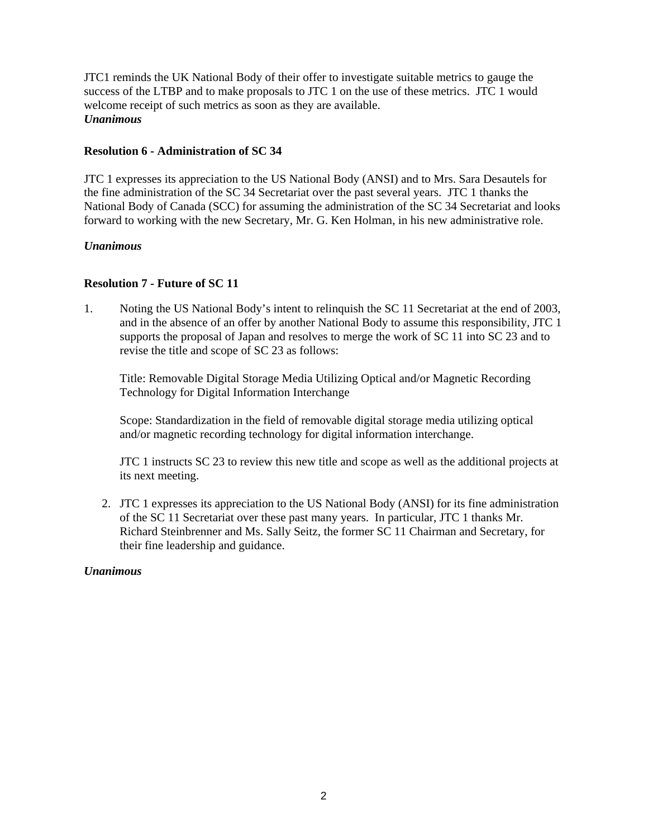JTC1 reminds the UK National Body of their offer to investigate suitable metrics to gauge the success of the LTBP and to make proposals to JTC 1 on the use of these metrics. JTC 1 would welcome receipt of such metrics as soon as they are available. *Unanimous* 

# **Resolution 6 - Administration of SC 34**

JTC 1 expresses its appreciation to the US National Body (ANSI) and to Mrs. Sara Desautels for the fine administration of the SC 34 Secretariat over the past several years. JTC 1 thanks the National Body of Canada (SCC) for assuming the administration of the SC 34 Secretariat and looks forward to working with the new Secretary, Mr. G. Ken Holman, in his new administrative role.

# *Unanimous*

# **Resolution 7 - Future of SC 11**

1. Noting the US National Body's intent to relinquish the SC 11 Secretariat at the end of 2003, and in the absence of an offer by another National Body to assume this responsibility, JTC 1 supports the proposal of Japan and resolves to merge the work of SC 11 into SC 23 and to revise the title and scope of SC 23 as follows:

Title: Removable Digital Storage Media Utilizing Optical and/or Magnetic Recording Technology for Digital Information Interchange

Scope: Standardization in the field of removable digital storage media utilizing optical and/or magnetic recording technology for digital information interchange.

JTC 1 instructs SC 23 to review this new title and scope as well as the additional projects at its next meeting.

2. JTC 1 expresses its appreciation to the US National Body (ANSI) for its fine administration of the SC 11 Secretariat over these past many years. In particular, JTC 1 thanks Mr. Richard Steinbrenner and Ms. Sally Seitz, the former SC 11 Chairman and Secretary, for their fine leadership and guidance.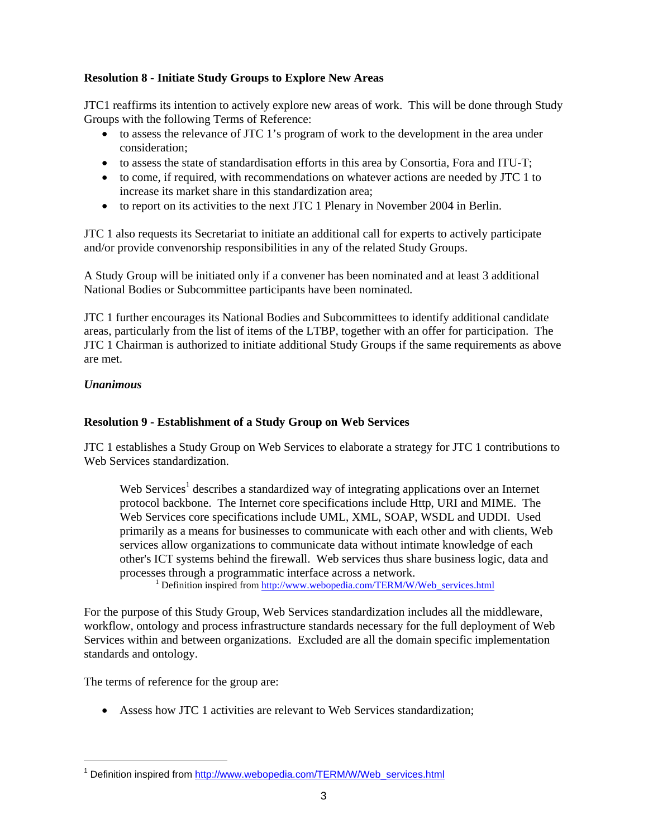# **Resolution 8 - Initiate Study Groups to Explore New Areas**

JTC1 reaffirms its intention to actively explore new areas of work. This will be done through Study Groups with the following Terms of Reference:

- to assess the relevance of JTC 1's program of work to the development in the area under consideration;
- to assess the state of standardisation efforts in this area by Consortia, Fora and ITU-T;
- to come, if required, with recommendations on whatever actions are needed by JTC 1 to increase its market share in this standardization area;
- to report on its activities to the next JTC 1 Plenary in November 2004 in Berlin.

JTC 1 also requests its Secretariat to initiate an additional call for experts to actively participate and/or provide convenorship responsibilities in any of the related Study Groups.

A Study Group will be initiated only if a convener has been nominated and at least 3 additional National Bodies or Subcommittee participants have been nominated.

JTC 1 further encourages its National Bodies and Subcommittees to identify additional candidate areas, particularly from the list of items of the LTBP, together with an offer for participation. The JTC 1 Chairman is authorized to initiate additional Study Groups if the same requirements as above are met.

# *Unanimous*

l

# **Resolution 9 - Establishment of a Study Group on Web Services**

JTC 1 establishes a Study Group on Web Services to elaborate a strategy for JTC 1 contributions to Web Services standardization.

Web Services<sup>1</sup> describes a standardized way of integrating applications over an Internet protocol backbone. The Internet core specifications include Http, URI and MIME. The Web Services core specifications include UML, XML, SOAP, WSDL and UDDI. Used primarily as a means for businesses to communicate with each other and with clients, Web services allow organizations to communicate data without intimate knowledge of each other's ICT systems behind the firewall. Web services thus share business logic, data and processes through a programmatic interface across a network.

 $\overline{1}$  $1$  Definition inspired from http://www.webopedia.com/TERM/W/Web\_services.html

For the purpose of this Study Group, Web Services standardization includes all the middleware, workflow, ontology and process infrastructure standards necessary for the full deployment of Web Services within and between organizations. Excluded are all the domain specific implementation standards and ontology.

The terms of reference for the group are:

• Assess how JTC 1 activities are relevant to Web Services standardization;

<sup>&</sup>lt;sup>1</sup> Definition inspired from http://www.webopedia.com/TERM/W/Web\_services.html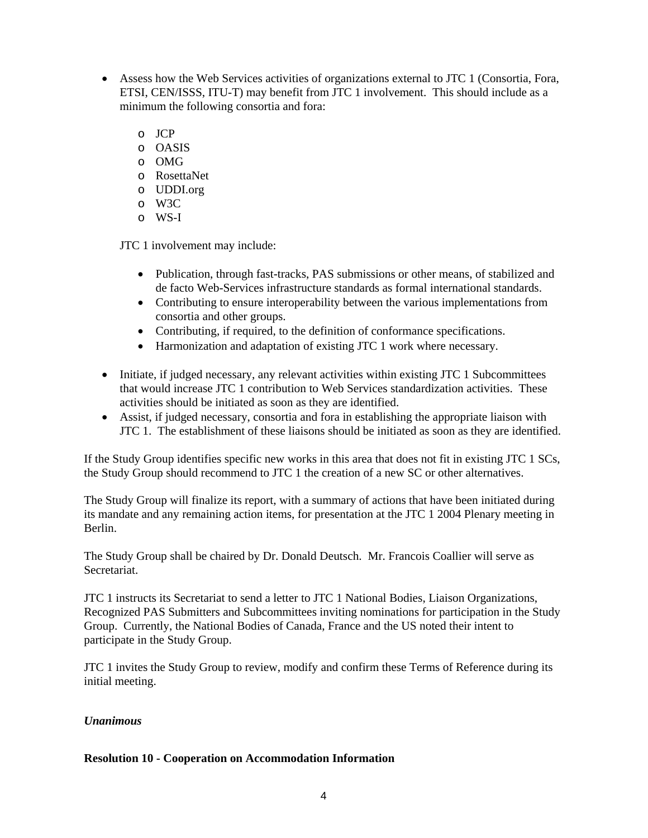- Assess how the Web Services activities of organizations external to JTC 1 (Consortia, Fora, ETSI, CEN/ISSS, ITU-T) may benefit from JTC 1 involvement. This should include as a minimum the following consortia and fora:
	- o JCP
	- o OASIS
	- o OMG
	- o RosettaNet
	- o UDDI.org
	- o W3C
	- o WS-I

JTC 1 involvement may include:

- Publication, through fast-tracks, PAS submissions or other means, of stabilized and de facto Web-Services infrastructure standards as formal international standards.
- Contributing to ensure interoperability between the various implementations from consortia and other groups.
- Contributing, if required, to the definition of conformance specifications.
- Harmonization and adaptation of existing JTC 1 work where necessary.
- Initiate, if judged necessary, any relevant activities within existing JTC 1 Subcommittees that would increase JTC 1 contribution to Web Services standardization activities. These activities should be initiated as soon as they are identified.
- Assist, if judged necessary, consortia and fora in establishing the appropriate liaison with JTC 1. The establishment of these liaisons should be initiated as soon as they are identified.

If the Study Group identifies specific new works in this area that does not fit in existing JTC 1 SCs, the Study Group should recommend to JTC 1 the creation of a new SC or other alternatives.

The Study Group will finalize its report, with a summary of actions that have been initiated during its mandate and any remaining action items, for presentation at the JTC 1 2004 Plenary meeting in Berlin.

The Study Group shall be chaired by Dr. Donald Deutsch. Mr. Francois Coallier will serve as Secretariat.

JTC 1 instructs its Secretariat to send a letter to JTC 1 National Bodies, Liaison Organizations, Recognized PAS Submitters and Subcommittees inviting nominations for participation in the Study Group. Currently, the National Bodies of Canada, France and the US noted their intent to participate in the Study Group.

JTC 1 invites the Study Group to review, modify and confirm these Terms of Reference during its initial meeting.

### *Unanimous*

### **Resolution 10 - Cooperation on Accommodation Information**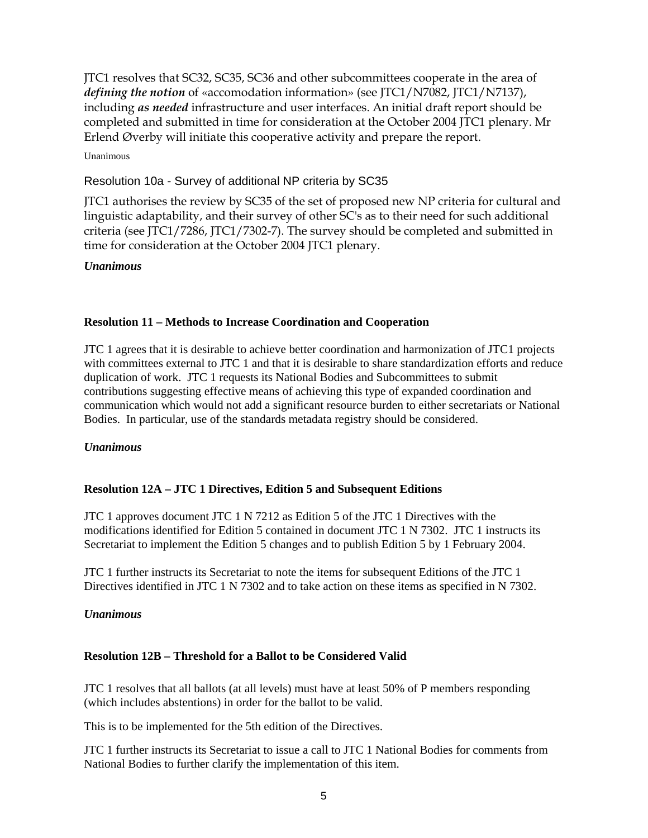JTC1 resolves that SC32, SC35, SC36 and other subcommittees cooperate in the area of *defining the notion* of «accomodation information» (see JTC1/N7082, JTC1/N7137), including *as needed* infrastructure and user interfaces. An initial draft report should be completed and submitted in time for consideration at the October 2004 JTC1 plenary. Mr Erlend Øverby will initiate this cooperative activity and prepare the report.

Unanimous

# Resolution 10a - Survey of additional NP criteria by SC35

JTC1 authorises the review by SC35 of the set of proposed new NP criteria for cultural and linguistic adaptability, and their survey of other SC's as to their need for such additional criteria (see JTC1/7286, JTC1/7302-7). The survey should be completed and submitted in time for consideration at the October 2004 JTC1 plenary.

# *Unanimous*

# **Resolution 11 – Methods to Increase Coordination and Cooperation**

JTC 1 agrees that it is desirable to achieve better coordination and harmonization of JTC1 projects with committees external to JTC 1 and that it is desirable to share standardization efforts and reduce duplication of work. JTC 1 requests its National Bodies and Subcommittees to submit contributions suggesting effective means of achieving this type of expanded coordination and communication which would not add a significant resource burden to either secretariats or National Bodies. In particular, use of the standards metadata registry should be considered.

# *Unanimous*

# **Resolution 12A – JTC 1 Directives, Edition 5 and Subsequent Editions**

JTC 1 approves document JTC 1 N 7212 as Edition 5 of the JTC 1 Directives with the modifications identified for Edition 5 contained in document JTC 1 N 7302. JTC 1 instructs its Secretariat to implement the Edition 5 changes and to publish Edition 5 by 1 February 2004.

JTC 1 further instructs its Secretariat to note the items for subsequent Editions of the JTC 1 Directives identified in JTC 1 N 7302 and to take action on these items as specified in N 7302.

# *Unanimous*

# **Resolution 12B – Threshold for a Ballot to be Considered Valid**

JTC 1 resolves that all ballots (at all levels) must have at least 50% of P members responding (which includes abstentions) in order for the ballot to be valid.

This is to be implemented for the 5th edition of the Directives.

JTC 1 further instructs its Secretariat to issue a call to JTC 1 National Bodies for comments from National Bodies to further clarify the implementation of this item.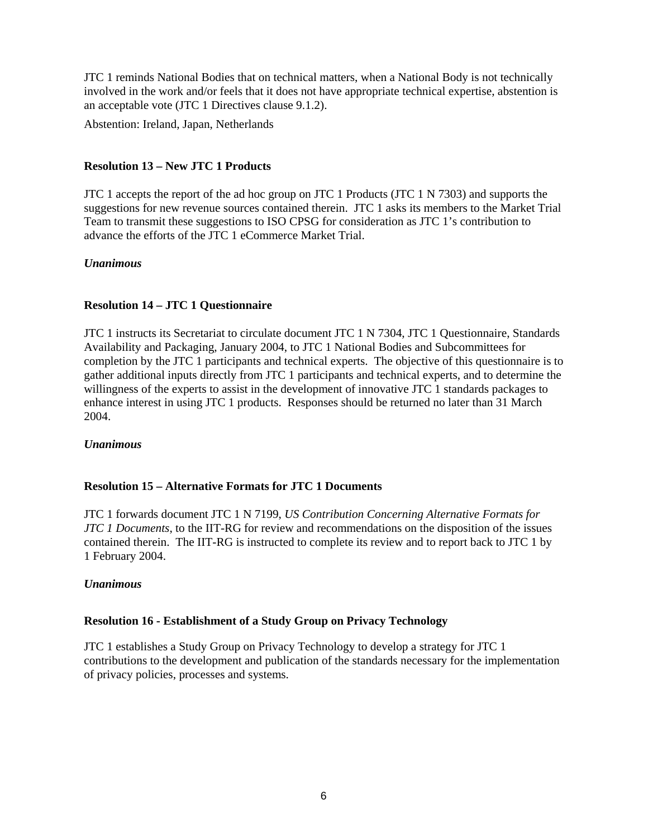JTC 1 reminds National Bodies that on technical matters, when a National Body is not technically involved in the work and/or feels that it does not have appropriate technical expertise, abstention is an acceptable vote (JTC 1 Directives clause 9.1.2).

Abstention: Ireland, Japan, Netherlands

# **Resolution 13 – New JTC 1 Products**

JTC 1 accepts the report of the ad hoc group on JTC 1 Products (JTC 1 N 7303) and supports the suggestions for new revenue sources contained therein. JTC 1 asks its members to the Market Trial Team to transmit these suggestions to ISO CPSG for consideration as JTC 1's contribution to advance the efforts of the JTC 1 eCommerce Market Trial.

# *Unanimous*

# **Resolution 14 – JTC 1 Questionnaire**

JTC 1 instructs its Secretariat to circulate document JTC 1 N 7304, JTC 1 Questionnaire, Standards Availability and Packaging, January 2004, to JTC 1 National Bodies and Subcommittees for completion by the JTC 1 participants and technical experts. The objective of this questionnaire is to gather additional inputs directly from JTC 1 participants and technical experts, and to determine the willingness of the experts to assist in the development of innovative JTC 1 standards packages to enhance interest in using JTC 1 products. Responses should be returned no later than 31 March 2004.

### *Unanimous*

### **Resolution 15 – Alternative Formats for JTC 1 Documents**

JTC 1 forwards document JTC 1 N 7199, *US Contribution Concerning Alternative Formats for JTC 1 Documents*, to the IIT-RG for review and recommendations on the disposition of the issues contained therein. The IIT-RG is instructed to complete its review and to report back to JTC 1 by 1 February 2004.

### *Unanimous*

### **Resolution 16 - Establishment of a Study Group on Privacy Technology**

JTC 1 establishes a Study Group on Privacy Technology to develop a strategy for JTC 1 contributions to the development and publication of the standards necessary for the implementation of privacy policies, processes and systems.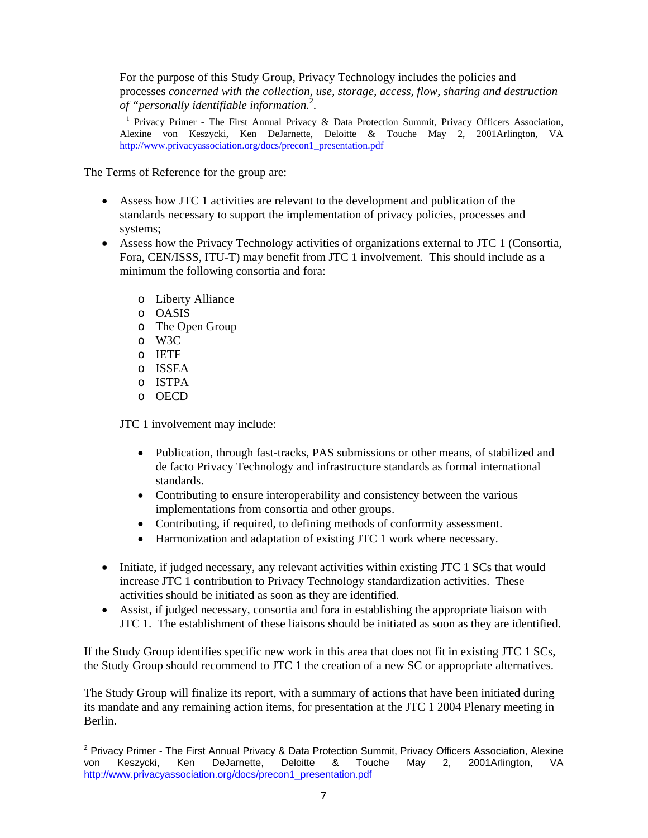For the purpose of this Study Group, Privacy Technology includes the policies and processes *concerned with the collection, use, storage, access, flow, sharing and destruction of "personally identifiable information.<sup>2</sup>.*<br><sup>1</sup> Privecy Primer. The First Annual Privecy.

 Privacy Primer - The First Annual Privacy & Data Protection Summit, Privacy Officers Association, Alexine von Keszycki, Ken DeJarnette, Deloitte & Touche May 2, 2001Arlington, VA http://www.privacyassociation.org/docs/precon1\_presentation.pdf

The Terms of Reference for the group are:

- Assess how JTC 1 activities are relevant to the development and publication of the standards necessary to support the implementation of privacy policies, processes and systems;
- Assess how the Privacy Technology activities of organizations external to JTC 1 (Consortia, Fora, CEN/ISSS, ITU-T) may benefit from JTC 1 involvement. This should include as a minimum the following consortia and fora:
	- o Liberty Alliance
	- o OASIS
	- o The Open Group
	- o W3C
	- o IETF
	- o ISSEA
	- o ISTPA
	- o OECD

l

JTC 1 involvement may include:

- Publication, through fast-tracks, PAS submissions or other means, of stabilized and de facto Privacy Technology and infrastructure standards as formal international standards.
- Contributing to ensure interoperability and consistency between the various implementations from consortia and other groups.
- Contributing, if required, to defining methods of conformity assessment.
- Harmonization and adaptation of existing JTC 1 work where necessary.
- Initiate, if judged necessary, any relevant activities within existing JTC 1 SCs that would increase JTC 1 contribution to Privacy Technology standardization activities. These activities should be initiated as soon as they are identified.
- Assist, if judged necessary, consortia and fora in establishing the appropriate liaison with JTC 1. The establishment of these liaisons should be initiated as soon as they are identified.

If the Study Group identifies specific new work in this area that does not fit in existing JTC 1 SCs, the Study Group should recommend to JTC 1 the creation of a new SC or appropriate alternatives.

The Study Group will finalize its report, with a summary of actions that have been initiated during its mandate and any remaining action items, for presentation at the JTC 1 2004 Plenary meeting in Berlin.

<sup>&</sup>lt;sup>2</sup> Privacy Primer - The First Annual Privacy & Data Protection Summit, Privacy Officers Association, Alexine von Keszycki, Ken DeJarnette, Deloitte & Touche May 2, 2001Arlington, VA http://www.privacyassociation.org/docs/precon1\_presentation.pdf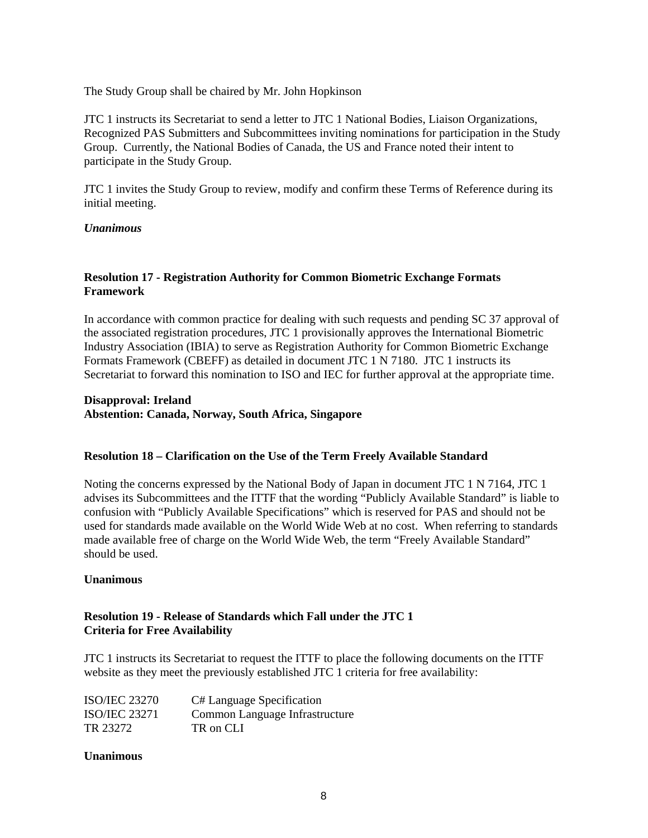The Study Group shall be chaired by Mr. John Hopkinson

JTC 1 instructs its Secretariat to send a letter to JTC 1 National Bodies, Liaison Organizations, Recognized PAS Submitters and Subcommittees inviting nominations for participation in the Study Group. Currently, the National Bodies of Canada, the US and France noted their intent to participate in the Study Group.

JTC 1 invites the Study Group to review, modify and confirm these Terms of Reference during its initial meeting.

# *Unanimous*

# **Resolution 17 - Registration Authority for Common Biometric Exchange Formats Framework**

In accordance with common practice for dealing with such requests and pending SC 37 approval of the associated registration procedures, JTC 1 provisionally approves the International Biometric Industry Association (IBIA) to serve as Registration Authority for Common Biometric Exchange Formats Framework (CBEFF) as detailed in document JTC 1 N 7180. JTC 1 instructs its Secretariat to forward this nomination to ISO and IEC for further approval at the appropriate time.

### **Disapproval: Ireland Abstention: Canada, Norway, South Africa, Singapore**

### **Resolution 18 – Clarification on the Use of the Term Freely Available Standard**

Noting the concerns expressed by the National Body of Japan in document JTC 1 N 7164, JTC 1 advises its Subcommittees and the ITTF that the wording "Publicly Available Standard" is liable to confusion with "Publicly Available Specifications" which is reserved for PAS and should not be used for standards made available on the World Wide Web at no cost. When referring to standards made available free of charge on the World Wide Web, the term "Freely Available Standard" should be used.

### **Unanimous**

# **Resolution 19 - Release of Standards which Fall under the JTC 1 Criteria for Free Availability**

JTC 1 instructs its Secretariat to request the ITTF to place the following documents on the ITTF website as they meet the previously established JTC 1 criteria for free availability:

| <b>ISO/IEC 23270</b> | C# Language Specification      |
|----------------------|--------------------------------|
| <b>ISO/IEC 23271</b> | Common Language Infrastructure |
| TR 23272             | TR on CLI                      |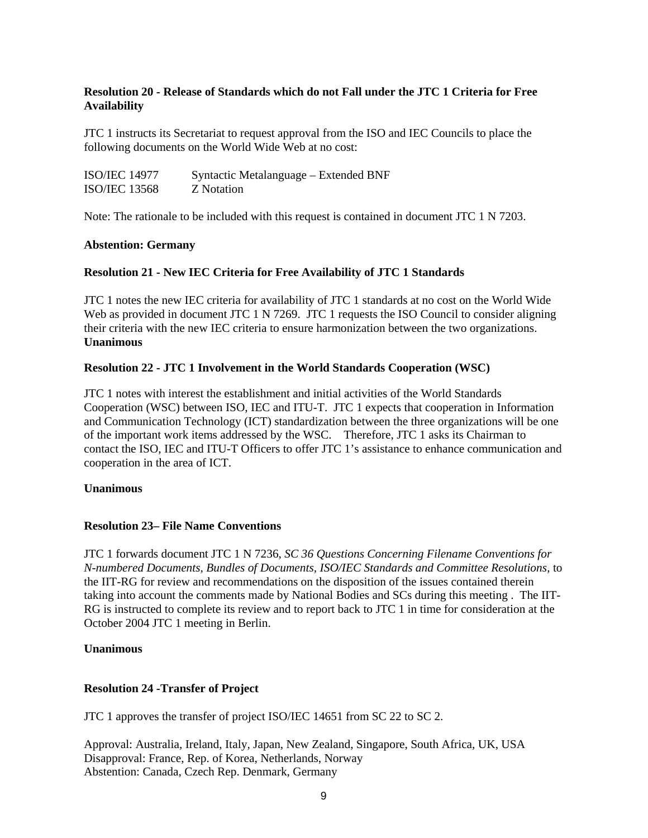# **Resolution 20 - Release of Standards which do not Fall under the JTC 1 Criteria for Free Availability**

JTC 1 instructs its Secretariat to request approval from the ISO and IEC Councils to place the following documents on the World Wide Web at no cost:

| <b>ISO/IEC 14977</b> | Syntactic Metalanguage – Extended BNF |
|----------------------|---------------------------------------|
| <b>ISO/IEC 13568</b> | Z Notation                            |

Note: The rationale to be included with this request is contained in document JTC 1 N 7203.

### **Abstention: Germany**

### **Resolution 21 - New IEC Criteria for Free Availability of JTC 1 Standards**

JTC 1 notes the new IEC criteria for availability of JTC 1 standards at no cost on the World Wide Web as provided in document JTC 1 N 7269. JTC 1 requests the ISO Council to consider aligning their criteria with the new IEC criteria to ensure harmonization between the two organizations. **Unanimous** 

### **Resolution 22 - JTC 1 Involvement in the World Standards Cooperation (WSC)**

JTC 1 notes with interest the establishment and initial activities of the World Standards Cooperation (WSC) between ISO, IEC and ITU-T. JTC 1 expects that cooperation in Information and Communication Technology (ICT) standardization between the three organizations will be one of the important work items addressed by the WSC. Therefore, JTC 1 asks its Chairman to contact the ISO, IEC and ITU-T Officers to offer JTC 1's assistance to enhance communication and cooperation in the area of ICT.

### **Unanimous**

### **Resolution 23– File Name Conventions**

JTC 1 forwards document JTC 1 N 7236, *SC 36 Questions Concerning Filename Conventions for N-numbered Documents, Bundles of Documents, ISO/IEC Standards and Committee Resolutions*, to the IIT-RG for review and recommendations on the disposition of the issues contained therein taking into account the comments made by National Bodies and SCs during this meeting . The IIT-RG is instructed to complete its review and to report back to JTC 1 in time for consideration at the October 2004 JTC 1 meeting in Berlin.

### **Unanimous**

### **Resolution 24 -Transfer of Project**

JTC 1 approves the transfer of project ISO/IEC 14651 from SC 22 to SC 2.

Approval: Australia, Ireland, Italy, Japan, New Zealand, Singapore, South Africa, UK, USA Disapproval: France, Rep. of Korea, Netherlands, Norway Abstention: Canada, Czech Rep. Denmark, Germany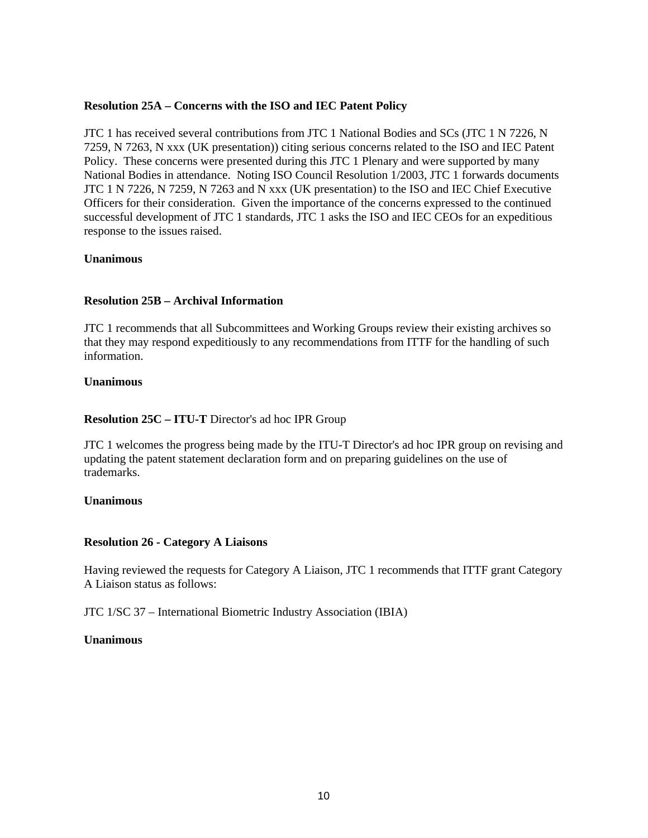### **Resolution 25A – Concerns with the ISO and IEC Patent Policy**

JTC 1 has received several contributions from JTC 1 National Bodies and SCs (JTC 1 N 7226, N 7259, N 7263, N xxx (UK presentation)) citing serious concerns related to the ISO and IEC Patent Policy. These concerns were presented during this JTC 1 Plenary and were supported by many National Bodies in attendance. Noting ISO Council Resolution 1/2003, JTC 1 forwards documents JTC 1 N 7226, N 7259, N 7263 and N xxx (UK presentation) to the ISO and IEC Chief Executive Officers for their consideration. Given the importance of the concerns expressed to the continued successful development of JTC 1 standards, JTC 1 asks the ISO and IEC CEOs for an expeditious response to the issues raised.

### **Unanimous**

# **Resolution 25B – Archival Information**

JTC 1 recommends that all Subcommittees and Working Groups review their existing archives so that they may respond expeditiously to any recommendations from ITTF for the handling of such information.

### **Unanimous**

### **Resolution 25C – ITU-T** Director's ad hoc IPR Group

JTC 1 welcomes the progress being made by the ITU-T Director's ad hoc IPR group on revising and updating the patent statement declaration form and on preparing guidelines on the use of trademarks.

### **Unanimous**

### **Resolution 26 - Category A Liaisons**

Having reviewed the requests for Category A Liaison, JTC 1 recommends that ITTF grant Category A Liaison status as follows:

JTC 1/SC 37 – International Biometric Industry Association (IBIA)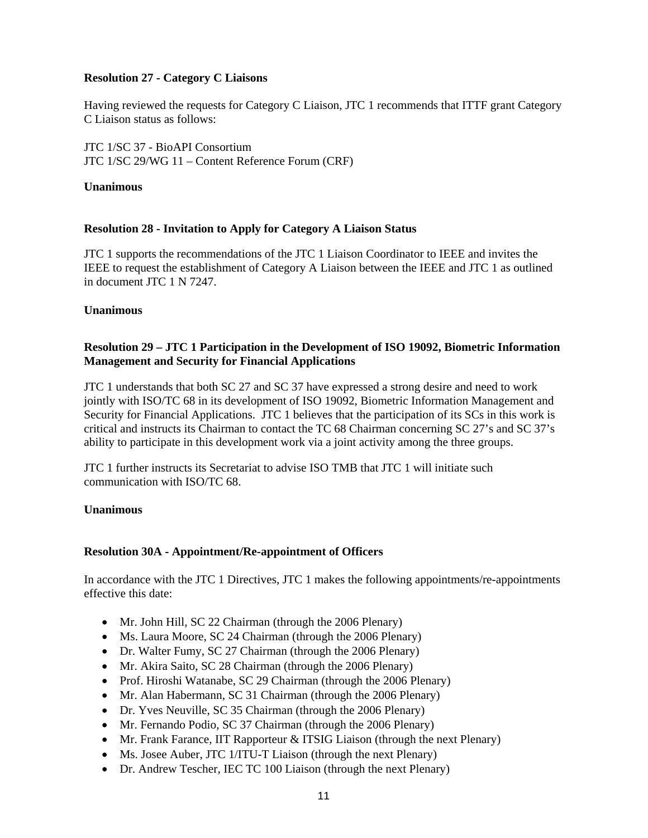# **Resolution 27 - Category C Liaisons**

Having reviewed the requests for Category C Liaison, JTC 1 recommends that ITTF grant Category C Liaison status as follows:

JTC 1/SC 37 - BioAPI Consortium JTC 1/SC 29/WG 11 – Content Reference Forum (CRF)

### **Unanimous**

# **Resolution 28 - Invitation to Apply for Category A Liaison Status**

JTC 1 supports the recommendations of the JTC 1 Liaison Coordinator to IEEE and invites the IEEE to request the establishment of Category A Liaison between the IEEE and JTC 1 as outlined in document JTC 1 N 7247.

# **Unanimous**

# **Resolution 29 – JTC 1 Participation in the Development of ISO 19092, Biometric Information Management and Security for Financial Applications**

JTC 1 understands that both SC 27 and SC 37 have expressed a strong desire and need to work jointly with ISO/TC 68 in its development of ISO 19092, Biometric Information Management and Security for Financial Applications. JTC 1 believes that the participation of its SCs in this work is critical and instructs its Chairman to contact the TC 68 Chairman concerning SC 27's and SC 37's ability to participate in this development work via a joint activity among the three groups.

JTC 1 further instructs its Secretariat to advise ISO TMB that JTC 1 will initiate such communication with ISO/TC 68.

### **Unanimous**

### **Resolution 30A - Appointment/Re-appointment of Officers**

In accordance with the JTC 1 Directives, JTC 1 makes the following appointments/re-appointments effective this date:

- Mr. John Hill, SC 22 Chairman (through the 2006 Plenary)
- Ms. Laura Moore, SC 24 Chairman (through the 2006 Plenary)
- Dr. Walter Fumy, SC 27 Chairman (through the 2006 Plenary)
- Mr. Akira Saito, SC 28 Chairman (through the 2006 Plenary)
- Prof. Hiroshi Watanabe, SC 29 Chairman (through the 2006 Plenary)
- Mr. Alan Habermann, SC 31 Chairman (through the 2006 Plenary)
- Dr. Yves Neuville, SC 35 Chairman (through the 2006 Plenary)
- Mr. Fernando Podio, SC 37 Chairman (through the 2006 Plenary)
- Mr. Frank Farance, IIT Rapporteur & ITSIG Liaison (through the next Plenary)
- Ms. Josee Auber, JTC 1/ITU-T Liaison (through the next Plenary)
- Dr. Andrew Tescher, IEC TC 100 Liaison (through the next Plenary)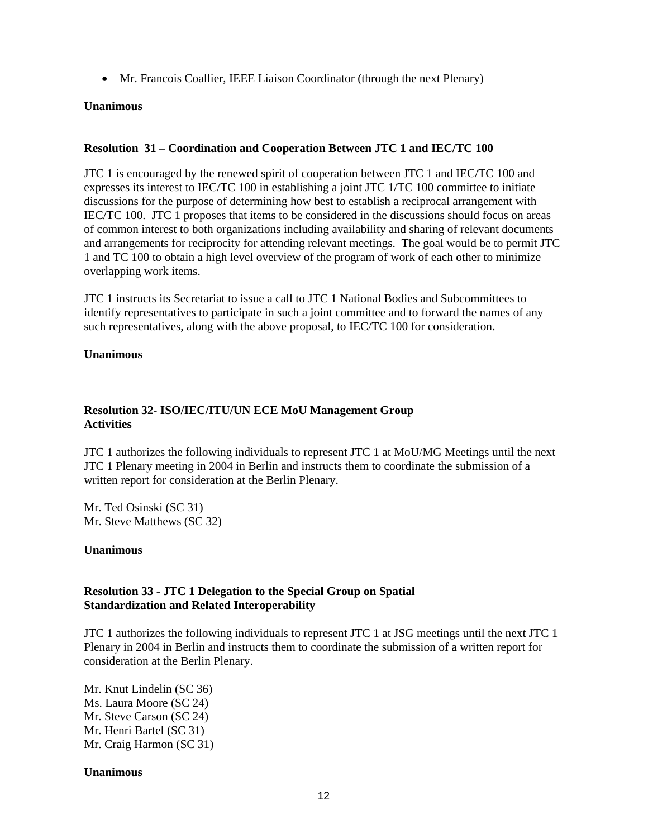• Mr. Francois Coallier, IEEE Liaison Coordinator (through the next Plenary)

### **Unanimous**

# **Resolution 31 – Coordination and Cooperation Between JTC 1 and IEC/TC 100**

JTC 1 is encouraged by the renewed spirit of cooperation between JTC 1 and IEC/TC 100 and expresses its interest to IEC/TC 100 in establishing a joint JTC 1/TC 100 committee to initiate discussions for the purpose of determining how best to establish a reciprocal arrangement with IEC/TC 100. JTC 1 proposes that items to be considered in the discussions should focus on areas of common interest to both organizations including availability and sharing of relevant documents and arrangements for reciprocity for attending relevant meetings. The goal would be to permit JTC 1 and TC 100 to obtain a high level overview of the program of work of each other to minimize overlapping work items.

JTC 1 instructs its Secretariat to issue a call to JTC 1 National Bodies and Subcommittees to identify representatives to participate in such a joint committee and to forward the names of any such representatives, along with the above proposal, to IEC/TC 100 for consideration.

### **Unanimous**

# **Resolution 32- ISO/IEC/ITU/UN ECE MoU Management Group Activities**

JTC 1 authorizes the following individuals to represent JTC 1 at MoU/MG Meetings until the next JTC 1 Plenary meeting in 2004 in Berlin and instructs them to coordinate the submission of a written report for consideration at the Berlin Plenary.

Mr. Ted Osinski (SC 31) Mr. Steve Matthews (SC 32)

### **Unanimous**

# **Resolution 33 - JTC 1 Delegation to the Special Group on Spatial Standardization and Related Interoperability**

JTC 1 authorizes the following individuals to represent JTC 1 at JSG meetings until the next JTC 1 Plenary in 2004 in Berlin and instructs them to coordinate the submission of a written report for consideration at the Berlin Plenary.

Mr. Knut Lindelin (SC 36) Ms. Laura Moore (SC 24) Mr. Steve Carson (SC 24) Mr. Henri Bartel (SC 31) Mr. Craig Harmon (SC 31)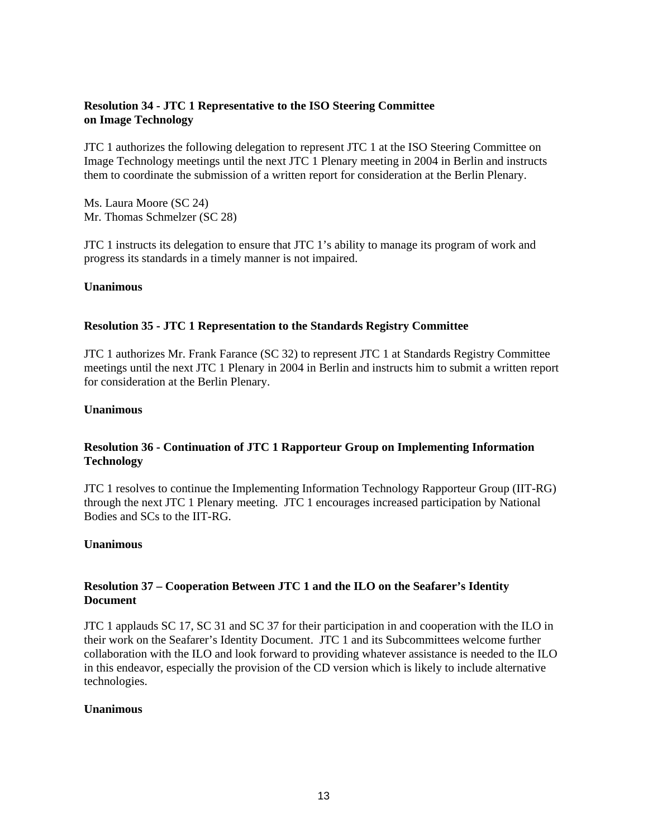# **Resolution 34 - JTC 1 Representative to the ISO Steering Committee on Image Technology**

JTC 1 authorizes the following delegation to represent JTC 1 at the ISO Steering Committee on Image Technology meetings until the next JTC 1 Plenary meeting in 2004 in Berlin and instructs them to coordinate the submission of a written report for consideration at the Berlin Plenary.

Ms. Laura Moore (SC 24) Mr. Thomas Schmelzer (SC 28)

JTC 1 instructs its delegation to ensure that JTC 1's ability to manage its program of work and progress its standards in a timely manner is not impaired.

### **Unanimous**

# **Resolution 35 - JTC 1 Representation to the Standards Registry Committee**

JTC 1 authorizes Mr. Frank Farance (SC 32) to represent JTC 1 at Standards Registry Committee meetings until the next JTC 1 Plenary in 2004 in Berlin and instructs him to submit a written report for consideration at the Berlin Plenary.

### **Unanimous**

# **Resolution 36 - Continuation of JTC 1 Rapporteur Group on Implementing Information Technology**

JTC 1 resolves to continue the Implementing Information Technology Rapporteur Group (IIT-RG) through the next JTC 1 Plenary meeting. JTC 1 encourages increased participation by National Bodies and SCs to the IIT-RG.

### **Unanimous**

# **Resolution 37 – Cooperation Between JTC 1 and the ILO on the Seafarer's Identity Document**

JTC 1 applauds SC 17, SC 31 and SC 37 for their participation in and cooperation with the ILO in their work on the Seafarer's Identity Document. JTC 1 and its Subcommittees welcome further collaboration with the ILO and look forward to providing whatever assistance is needed to the ILO in this endeavor, especially the provision of the CD version which is likely to include alternative technologies.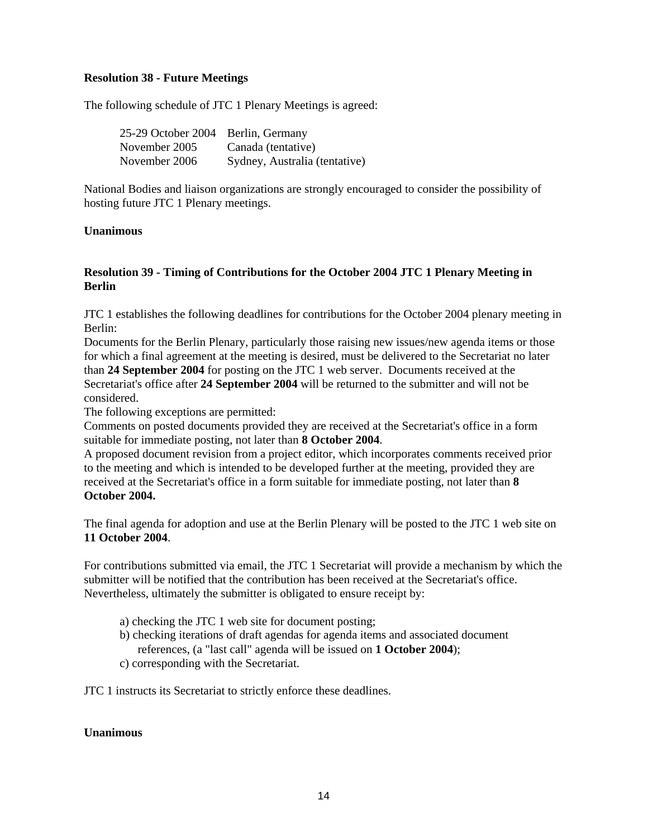# **Resolution 38 - Future Meetings**

The following schedule of JTC 1 Plenary Meetings is agreed:

| 25-29 October 2004 Berlin, Germany |                               |
|------------------------------------|-------------------------------|
| November 2005                      | Canada (tentative)            |
| November 2006                      | Sydney, Australia (tentative) |

National Bodies and liaison organizations are strongly encouraged to consider the possibility of hosting future JTC 1 Plenary meetings.

### **Unanimous**

# **Resolution 39 - Timing of Contributions for the October 2004 JTC 1 Plenary Meeting in Berlin**

JTC 1 establishes the following deadlines for contributions for the October 2004 plenary meeting in Berlin:

Documents for the Berlin Plenary, particularly those raising new issues/new agenda items or those for which a final agreement at the meeting is desired, must be delivered to the Secretariat no later than **24 September 2004** for posting on the JTC 1 web server. Documents received at the Secretariat's office after **24 September 2004** will be returned to the submitter and will not be considered.

The following exceptions are permitted:

Comments on posted documents provided they are received at the Secretariat's office in a form suitable for immediate posting, not later than **8 October 2004**.

A proposed document revision from a project editor, which incorporates comments received prior to the meeting and which is intended to be developed further at the meeting, provided they are received at the Secretariat's office in a form suitable for immediate posting, not later than **8 October 2004.** 

The final agenda for adoption and use at the Berlin Plenary will be posted to the JTC 1 web site on **11 October 2004**.

For contributions submitted via email, the JTC 1 Secretariat will provide a mechanism by which the submitter will be notified that the contribution has been received at the Secretariat's office. Nevertheless, ultimately the submitter is obligated to ensure receipt by:

- a) checking the JTC 1 web site for document posting;
- b) checking iterations of draft agendas for agenda items and associated document references, (a "last call" agenda will be issued on **1 October 2004**);
- c) corresponding with the Secretariat.

JTC 1 instructs its Secretariat to strictly enforce these deadlines.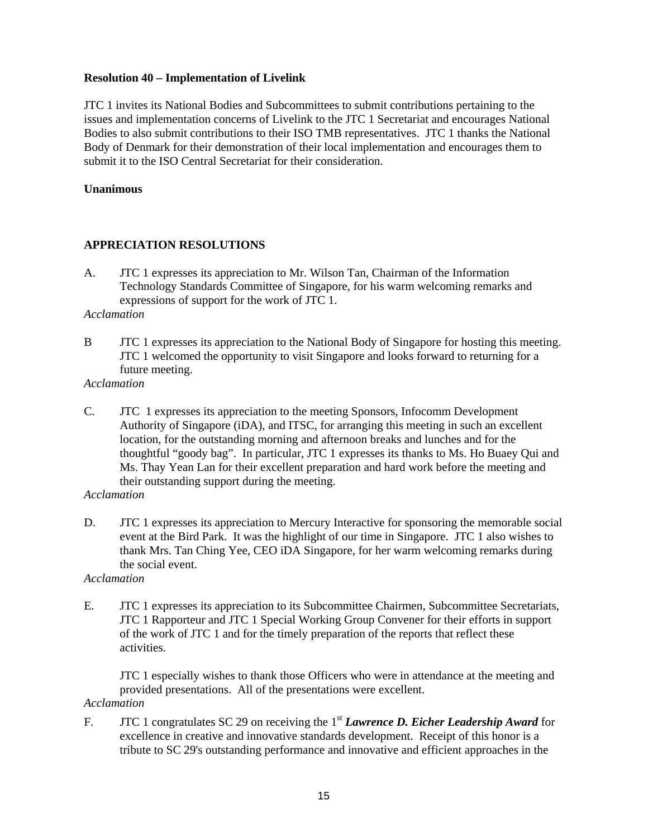# **Resolution 40 – Implementation of Livelink**

JTC 1 invites its National Bodies and Subcommittees to submit contributions pertaining to the issues and implementation concerns of Livelink to the JTC 1 Secretariat and encourages National Bodies to also submit contributions to their ISO TMB representatives. JTC 1 thanks the National Body of Denmark for their demonstration of their local implementation and encourages them to submit it to the ISO Central Secretariat for their consideration.

### **Unanimous**

# **APPRECIATION RESOLUTIONS**

A. JTC 1 expresses its appreciation to Mr. Wilson Tan, Chairman of the Information Technology Standards Committee of Singapore, for his warm welcoming remarks and expressions of support for the work of JTC 1.

#### *Acclamation*

- B JTC 1 expresses its appreciation to the National Body of Singapore for hosting this meeting. JTC 1 welcomed the opportunity to visit Singapore and looks forward to returning for a future meeting.
- *Acclamation*
- C. JTC 1 expresses its appreciation to the meeting Sponsors, Infocomm Development Authority of Singapore (iDA), and ITSC, for arranging this meeting in such an excellent location, for the outstanding morning and afternoon breaks and lunches and for the thoughtful "goody bag". In particular, JTC 1 expresses its thanks to Ms. Ho Buaey Qui and Ms. Thay Yean Lan for their excellent preparation and hard work before the meeting and their outstanding support during the meeting.
- *Acclamation*
- D. JTC 1 expresses its appreciation to Mercury Interactive for sponsoring the memorable social event at the Bird Park. It was the highlight of our time in Singapore. JTC 1 also wishes to thank Mrs. Tan Ching Yee, CEO iDA Singapore, for her warm welcoming remarks during the social event.

### *Acclamation*

E. JTC 1 expresses its appreciation to its Subcommittee Chairmen, Subcommittee Secretariats, JTC 1 Rapporteur and JTC 1 Special Working Group Convener for their efforts in support of the work of JTC 1 and for the timely preparation of the reports that reflect these activities.

JTC 1 especially wishes to thank those Officers who were in attendance at the meeting and provided presentations. All of the presentations were excellent.

# *Acclamation*

F. JTC 1 congratulates SC 29 on receiving the 1<sup>st</sup> **Lawrence D. Eicher Leadership Award** for excellence in creative and innovative standards development. Receipt of this honor is a tribute to SC 29's outstanding performance and innovative and efficient approaches in the